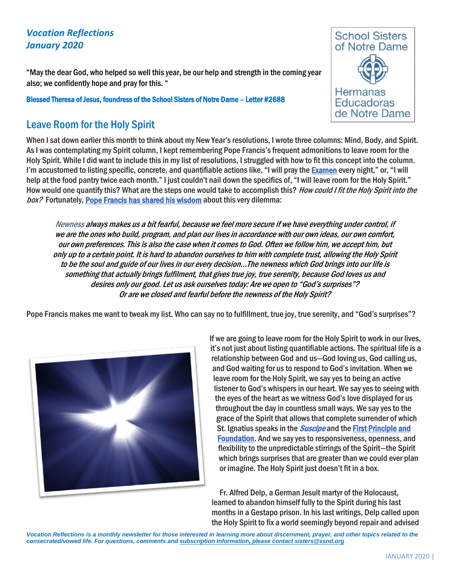## *Vocation Reflections January 2020*

"May the dear God, who helped so well this year, be our help and strength in the coming year also; we confidently hope and pray for this. "

Blessed Theresa of Jesus, foundress of the School Sisters of Notre Dame – Letter #2688

## Leave Room for the Holy Spirit

**School Sisters** of Notre Dame Hermanas **Educadoras** de Notre Dame

When I sat down earlier this month to think about my New Year's resolutions, I wrote three columns: Mind, Body, and Spirit. As I was contemplating my Spirit column, I kept remembering Pope Francis's frequent admonitions to leave room for the Holy Spirit. While I did want to include this in my list of resolutions, I struggled with how to fit this concept into the column. I'm accustomed to listing specific, concrete, and quantifiable actions like, "I will pray the **[Examen](https://www.ignatianspirituality.com/ignatian-prayer/the-examen)** every night," or, "I will help at the food pantry twice each month." I just couldn't nail down the specifics of, "I will leave room for the Holy Spirit." How would one quantify this? What are the steps one would take to accomplish this? How could I fit the Holy Spirit into the box? Fortunately, [Pope Francis has shared his wisdom](http://w2.vatican.va/content/francesco/en/homilies/2013/documents/papa-francesco_20130519_omelia-pentecoste.html) about this very dilemma:

Newness always makes us a bit fearful, because we feel more secure if we have everything under control, if we are the ones who build, program, and plan our lives in accordance with our own ideas, our own comfort, our own preferences. This is also the case when it comes to God. Often we follow him, we accept him, but only up to a certain point. It is hard to abandon ourselves to him with complete trust, allowing the Holy Spirit to be the soul and guide of our lives in our every decision…The newness which God brings into our life is something that actually brings fulfilment, that gives true joy, true serenity, because God loves us and desires only our good. Let us ask ourselves today: Are we open to "God's surprises"? Or are we closed and fearful before the newness of the Holy Spirit?

Pope Francis makes me want to tweak my list. Who can say no to fulfillment, true joy, true serenity, and "God's surprises"?



If we are going to leave room for the Holy Spirit to work in our lives, it's not just about listing quantifiable actions. The spiritual life is a relationship between God and us—God loving us, God calling us, and God waiting for us to respond to God's invitation. When we leave room for the Holy Spirit, we say yes to being an active listener to God's whispers in our heart. We say yes to seeing with the eyes of the heart as we witness God's love displayed for us throughout the day in countless small ways. We say yes to the grace of the Spirit that allows that complete surrender of which St. Ignatius speaks in the *[Suscipe](http://www.loyolapress.com/our-catholic-faith/prayer/traditional-catholic-prayers/saints-prayers/suscipe-prayer-saint-ignatius-of-loyola)* and the First Principle and [Foundation.](https://www.ignatianspirituality.com/22185/vinita-hampton-wright-on-the-principle-and-foundation) And we say yes to responsiveness, openness, and flexibility to the unpredictable stirrings of the Spirit—the Spirit which brings surprises that are greater than we could ever plan or imagine. The Holy Spirit just doesn't fit in a box.

Fr. Alfred Delp, a German Jesuit martyr of the Holocaust, learned to abandon himself fully to the Spirit during his last months in a Gestapo prison. In his last writings, Delp called upon the Holy Spirit to fix a world seemingly beyond repair and advised

*Vocation Reflections is a monthly newsletter for those interested in learning more about discernment, prayer, and other topics related to the consecrated/vowed life. For questions, comments and subscription information, please contact sisters@ssnd.org*